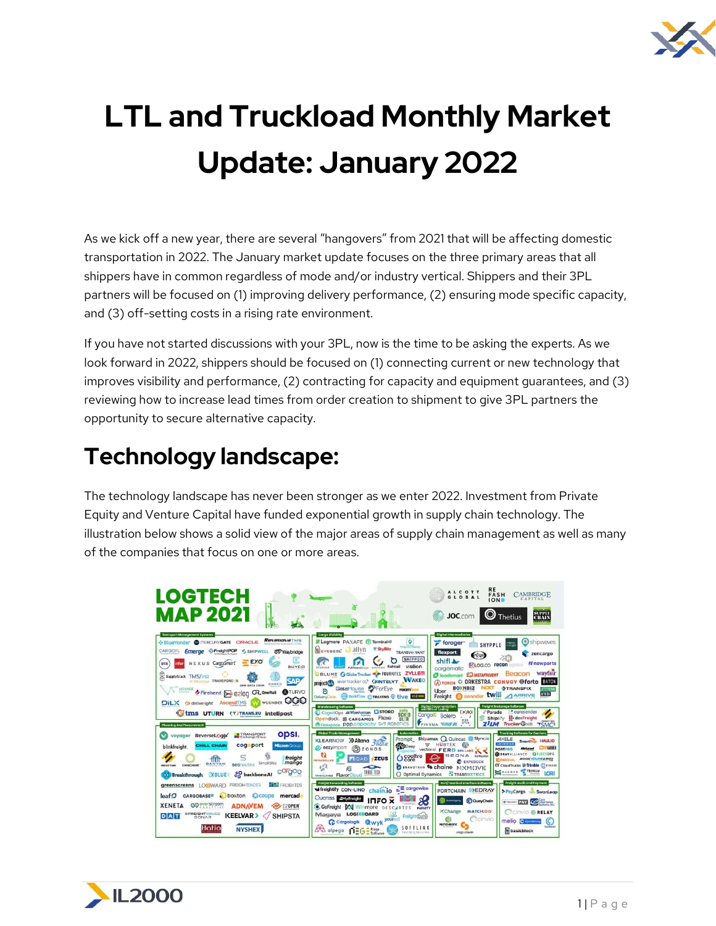

## **LTL and Truckload Monthly Market Update: January 2022**

As we kick off a new year, there are several "hangovers" from 2021 that will be affecting domestic transportation in 2022. The January market update focuses on the three primary areas that all shippers have in common regardless of mode and/or industry vertical. Shippers and their 3PL partners will be focused on (1) improving delivery performance, (2) ensuring mode specific capacity, and (3) off-setting costs in a rising rate environment.

If you have not started discussions with your 3PL, now is the time to be asking the experts. As we look forward in 2022, shippers should be focused on (1) connecting current or new technology that improves visibility and performance, (2) contracting for capacity and equipment guarantees, and (3) reviewing how to increase lead times from order creation to shipment to give 3PL partners the opportunity to secure alternative capacity.

## **Technology landscape:**

The technology landscape has never been stronger as we enter 2022. Investment from Private Equity and Venture Capital have funded exponential growth in supply chain technology. The illustration below shows a solid view of the major areas of supply chain management as well as many of the companies that focus on one or more areas.

| LOGTECH<br><b>MAP 2021</b>                                                                                                                                                                                                                                                                                                                                                                                                                                                                                                                                                                                                                                                                                                                                                                                                                                                                                |                                                                                                                                                                                                                                                                                                                                                                                                                                                                                                                                                                                                                                                                                                                                                                                                                                                                                                                                                                                       | RE<br><b>ALCOTT</b><br><b>CAMBRIDGE</b><br><b>FASH</b><br>GLOBA<br>CAPITAL<br><b>ION</b><br><b>SUPPLY</b><br>CHAIN<br>$\mathbf{\Theta}$ Thetius<br><b>JOC.com</b>                                                                                                                                                                                                                                                                                                                                                                                                                                                                                                                                                                                                                                                                                                                                                                                                                                                                                                                                                                                                                                                                                                        |
|-----------------------------------------------------------------------------------------------------------------------------------------------------------------------------------------------------------------------------------------------------------------------------------------------------------------------------------------------------------------------------------------------------------------------------------------------------------------------------------------------------------------------------------------------------------------------------------------------------------------------------------------------------------------------------------------------------------------------------------------------------------------------------------------------------------------------------------------------------------------------------------------------------------|---------------------------------------------------------------------------------------------------------------------------------------------------------------------------------------------------------------------------------------------------------------------------------------------------------------------------------------------------------------------------------------------------------------------------------------------------------------------------------------------------------------------------------------------------------------------------------------------------------------------------------------------------------------------------------------------------------------------------------------------------------------------------------------------------------------------------------------------------------------------------------------------------------------------------------------------------------------------------------------|--------------------------------------------------------------------------------------------------------------------------------------------------------------------------------------------------------------------------------------------------------------------------------------------------------------------------------------------------------------------------------------------------------------------------------------------------------------------------------------------------------------------------------------------------------------------------------------------------------------------------------------------------------------------------------------------------------------------------------------------------------------------------------------------------------------------------------------------------------------------------------------------------------------------------------------------------------------------------------------------------------------------------------------------------------------------------------------------------------------------------------------------------------------------------------------------------------------------------------------------------------------------------|
| <b>Transport Management Systems</b><br><b>Revenova</b> TMS<br>ORACLE<br>-BlueYonder @ FIERCURYGATE<br>Emerge  reightPOP<br>CARGOFL<br>< SHIPWELL<br><b>R2</b> Waybridge<br>Ξ<br>$=$ $EXO$<br>NEXUS CargoSmart<br>liftit<br>infor<br><b>BUYCO</b><br>SupplyStack TMSfirst<br><b>SAP</b><br><b>IT TAS In Clayr</b> TRANSPOREDN<br>GNOSIS<br><b>DEM DATA CORP.</b><br><b>ATURVO</b><br>Prirebend > 82l0q Q OneRail<br><b>OGO</b><br>$\mathbf{D}\mathbf{i}\mathbf{L}\mathbf{X}$ $\bullet$ deliveright<br><b>AscendTMS</b><br><b>WUUNDER</b><br><b>Tims UTURN (T)TRANS.EU intelipost</b><br><b>Planning And Procurement</b><br>opsi.<br><b>B</b> TRANSPORT<br>voyager<br><b>ReverseLogix</b><br>cogoport<br><b>CHILL CHAIN</b><br><b>Mizzen</b> Group<br>blinkfreight.<br>freight<br>価<br>manao<br>SimpliShip<br>BANYAN<br>segroutes<br><b>OMNICHAIN"</b><br>caldoo<br>oo backbone Al<br>3 Breakthrough XBLUEX | <b>Cargo Visibility</b><br>Ø<br><b>ELogmore</b> PAXAFE <b>D</b> Terminal49<br><b>TAG-N-TRAC</b><br><b>E</b> SkyBitz<br>allyn<br><b>Q</b> EYESERL<br><b>TRANSVG YANT</b><br><b>SHIPPEO</b><br>visilion<br>fishtail<br><b>CLASSWAN</b><br><b>ZYLLEM</b><br>G Globe Tracker Street FOURKITES<br><b>OBLUME</b><br><b>WAKEO</b><br>evertracker $\alpha$ <sup>®</sup> ( $\beta$ INTELYT<br>project <sup>(44</sup> )<br>GateHouse <b>P</b> ForEye<br>roam<br>G<br>Dockflow GTRAXENS @ tive VIZION<br>DeliveryCircle.<br><b>Warehousing Software</b><br>auto<br>CognitOps & Manhattan LISTORD<br><b>SCHED</b><br>Opendock. & CARGAMOS Flexe<br>ULER<br><b>Envisore POP.capacity SVT ROBOTICS</b><br>Global Trade Management<br>Automation<br><b>KLEARNOW</b><br>D Altana 3Mm<br><b>A</b> BDeep<br>O eezyimport<br><b>B</b> zonos<br>O coolfire<br><b>ZEUS</b><br><b>NOAD</b><br><b>RELIADOLLAR</b><br>$\overline{\phantom{a}}$<br>TRADE TECH<br>() Optimal Dynamics<br>TRADELANES FlavorCloud | <b>Digital Intermediaries</b><br>shipwaves<br>$\blacktriangleright$ forager<br>nuvo<br>SHYPPLE<br>flexport<br>zencargo<br>edge<br>shifl A<br><b><i>M</i></b> nowports<br>KLOG.CO recon<br>cargomatic<br>wayfair<br>Beacon<br><b>EQ INSTAFREIGHT</b><br><b>D</b> loadsmart<br><b>RITORCH O ORKESTRA CONVOY Oforto BATON</b><br><b>BOXNBIZ</b><br><b>NEXT</b><br><b>OTRANSFIX</b><br><b>MARISTS</b><br>Uber<br>AFRICA<br>Freight Sennder <b>twill</b> ARRIVE<br><b>Freight Brokerage Software</b><br>Digital Documentation<br>  and Bills of Lading<br>$\mathbb{E} \bullet \mathbb{A}$<br><b>F</b> * eurosender<br>Parade<br>Cargo Bolero<br>Shiplify is dexFreight<br><b>FRENIST TIGES</b><br>$b^{\circ}$ cs<br><b>ZILM</b> Trucker<br>FINEMA WAVEBL<br><b>TSMC</b> <sup>3</sup><br><b>Trucking Software for Carriers</b><br>Prompt Shipamax Q Quincus Slync.io<br><b>AXELE</b><br><b>HAULIO</b><br>SmartHop<br><b>MORRHAD</b><br>W HUBTEK<br>$\omega$<br><b>PORTPRO</b><br><b>Vector OI FERE RPALABS</b><br><b>FLEETOPS</b><br>Ξ<br>SEDNA KolReader<br><b>BOOK YOUR CARGO</b><br><b>EXPEDOCK</b><br><b>CE CloudTrucks &amp; Trimble CENVASI</b><br>BRAVOTRAN <a> Chaine NIXM()VE<br/><b>FE TRINIUM</b><br/>MAGNUS<br/>LORI<br/><b>COTRANSMETRICS</b><br/>FEDERALBERT</a> |
| <b>FREIGHTOS</b><br>LOGWARD FREIGHTENDER<br>greenscreens<br>leaf<br>boxton & coupa<br><b>CARGOBASE®</b><br>mercado<br><b>CO</b> everstroom<br><b>XENETA</b><br><b>ADNAVEM</b><br><b>E2OPEN</b><br><b>INFREIGHT</b> WAVES<br><b>KEELVAR&gt;</b><br><b>SHIPSTA</b><br><b>DAT</b><br><b>SONAR</b><br>Hatio<br><b>NYSHEX</b>                                                                                                                                                                                                                                                                                                                                                                                                                                                                                                                                                                                  | <b>Freight Forwarding Software</b><br>$E \equiv$ cargowise<br><b>A</b> freightify CON-LINO<br>chain.io<br><b>QuoTISS EMyFreight</b><br><b>INFO X</b><br>GoFreight Winmore DESCARTES PARNITY<br>Magaya LOGIXBOARD<br>C Cargologik Wyk your Freight Gate<br>SOFTLINK<br><b>A</b> alpega<br><b>DEGE</b> Riege<br>lingillying Operations                                                                                                                                                                                                                                                                                                                                                                                                                                                                                                                                                                                                                                                  | <b>Freight Audit and Payment</b><br>Port/Terminal Interface Software<br>PORTCHAIN EXEDRAY<br>>PayCargo SwanLear<br><b>Communication</b><br>C QuayChain<br><b>O THUMBER PAY COMPROMISTIC</b><br><b>X</b> Change<br><b>MATCHLOG</b><br><b>CINYIO &amp; RELAY</b><br>Cinvio<br>melio Comemor<br>(C)<br><b>MATCHBACK</b><br>ConDote<br><b>b</b> basicblock<br>corgo stream                                                                                                                                                                                                                                                                                                                                                                                                                                                                                                                                                                                                                                                                                                                                                                                                                                                                                                   |

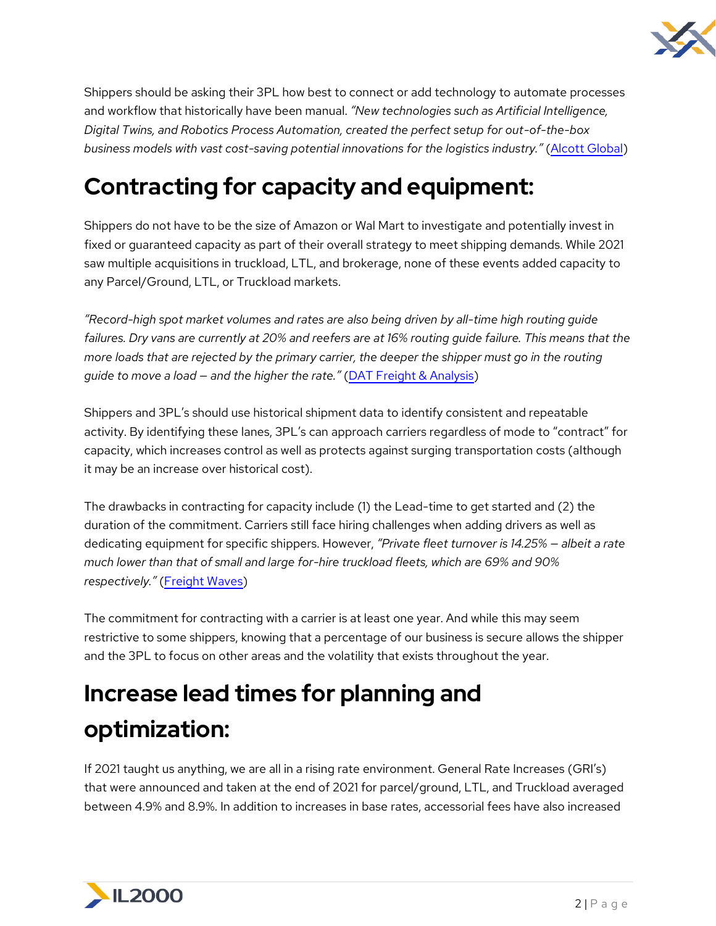

Shippers should be asking their 3PL how best to connect or add technology to automate processes and workflow that historically have been manual. *"New technologies such as Artificial Intelligence, Digital Twins, and Robotics Process Automation, created the perfect setup for out-of-the-box business models with vast cost-saving potential innovations for the logistics industry."* [\(Alcott Global\)](https://www.alcottglobal.com/2021-put-logistics-technology-on-the-map/)

## **Contracting for capacity and equipment:**

Shippers do not have to be the size of Amazon or Wal Mart to investigate and potentially invest in fixed or guaranteed capacity as part of their overall strategy to meet shipping demands. While 2021 saw multiple acquisitions in truckload, LTL, and brokerage, none of these events added capacity to any Parcel/Ground, LTL, or Truckload markets.

*"Record-high spot market volumes and rates are also being driven by all-time high routing guide failures. Dry vans are currently at 20% and reefers are at 16% routing guide failure. This means that the more loads that are rejected by the primary carrier, the deeper the shipper must go in the routing guide to move a load — and the higher the rate."* [\(DAT Freight & Analysis\)](https://www.dat.com/blog/post/truckload-freight-rates-have-almost-doubled-in-18-months?utm_source=linkedin&utm_medium=social&utm_campaign=marketupdate)

Shippers and 3PL's should use historical shipment data to identify consistent and repeatable activity. By identifying these lanes, 3PL's can approach carriers regardless of mode to "contract" for capacity, which increases control as well as protects against surging transportation costs (although it may be an increase over historical cost).

The drawbacks in contracting for capacity include (1) the Lead-time to get started and (2) the duration of the commitment. Carriers still face hiring challenges when adding drivers as well as dedicating equipment for specific shippers. However, *"Private fleet turnover is 14.25% — albeit a rate much lower than that of small and large for-hire truckload fleets, which are 69% and 90% respectively."* [\(Freight Waves\)](https://www.freightwaves.com/news/3-ways-shippers-are-gaining-control-of-their-supply-chains)

The commitment for contracting with a carrier is at least one year. And while this may seem restrictive to some shippers, knowing that a percentage of our business is secure allows the shipper and the 3PL to focus on other areas and the volatility that exists throughout the year.

## **Increase lead times for planning and optimization:**

If 2021 taught us anything, we are all in a rising rate environment. General Rate Increases (GRI's) that were announced and taken at the end of 2021 for parcel/ground, LTL, and Truckload averaged between 4.9% and 8.9%. In addition to increases in base rates, accessorial fees have also increased